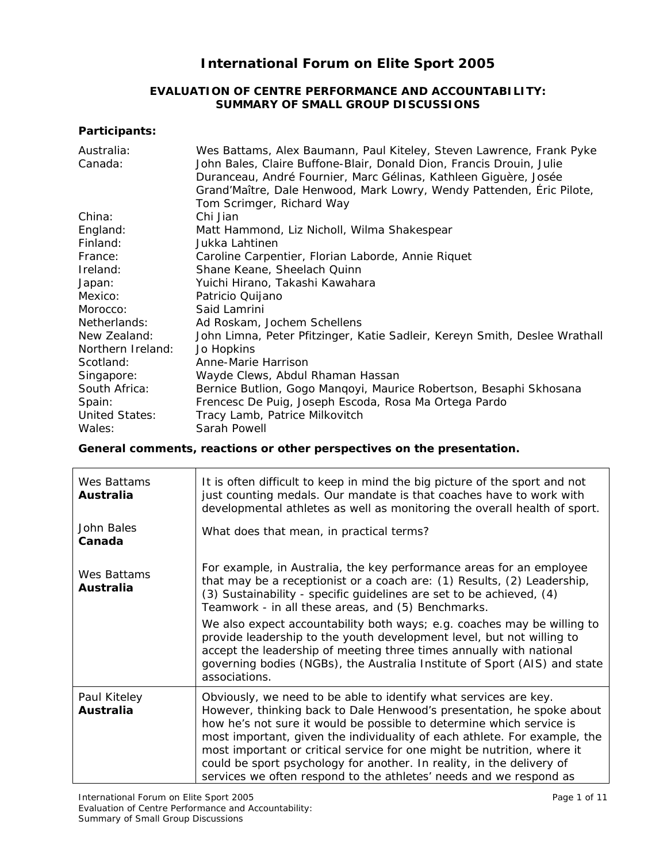# **International Forum on Elite Sport 2005**

### **EVALUATION OF CENTRE PERFORMANCE AND ACCOUNTABILITY: SUMMARY OF SMALL GROUP DISCUSSIONS**

# **Participants:**

| Australia:<br>Canada: | Wes Battams, Alex Baumann, Paul Kiteley, Steven Lawrence, Frank Pyke<br>John Bales, Claire Buffone-Blair, Donald Dion, Francis Drouin, Julie<br>Duranceau, André Fournier, Marc Gélinas, Kathleen Giguère, Josée<br>Grand'Maître, Dale Henwood, Mark Lowry, Wendy Pattenden, Éric Pilote,<br>Tom Scrimger, Richard Way |
|-----------------------|------------------------------------------------------------------------------------------------------------------------------------------------------------------------------------------------------------------------------------------------------------------------------------------------------------------------|
| China:                | Chi Jian                                                                                                                                                                                                                                                                                                               |
| England:              | Matt Hammond, Liz Nicholl, Wilma Shakespear                                                                                                                                                                                                                                                                            |
| Finland:              | Jukka Lahtinen                                                                                                                                                                                                                                                                                                         |
| France:               | Caroline Carpentier, Florian Laborde, Annie Riquet                                                                                                                                                                                                                                                                     |
| Ireland:              | Shane Keane, Sheelach Quinn                                                                                                                                                                                                                                                                                            |
| Japan:                | Yuichi Hirano, Takashi Kawahara                                                                                                                                                                                                                                                                                        |
| Mexico:               | Patricio Quijano                                                                                                                                                                                                                                                                                                       |
| Morocco:              | Said Lamrini                                                                                                                                                                                                                                                                                                           |
| Netherlands:          | Ad Roskam, Jochem Schellens                                                                                                                                                                                                                                                                                            |
| New Zealand:          | John Limna, Peter Pfitzinger, Katie Sadleir, Kereyn Smith, Deslee Wrathall                                                                                                                                                                                                                                             |
| Northern Ireland:     | Jo Hopkins                                                                                                                                                                                                                                                                                                             |
| Scotland:             | Anne-Marie Harrison                                                                                                                                                                                                                                                                                                    |
| Singapore:            | Wayde Clews, Abdul Rhaman Hassan                                                                                                                                                                                                                                                                                       |
| South Africa:         | Bernice Butlion, Gogo Manqoyi, Maurice Robertson, Besaphi Skhosana                                                                                                                                                                                                                                                     |
| Spain:                | Frencesc De Puig, Joseph Escoda, Rosa Ma Ortega Pardo                                                                                                                                                                                                                                                                  |
| <b>United States:</b> | Tracy Lamb, Patrice Milkovitch                                                                                                                                                                                                                                                                                         |
| Wales:                | Sarah Powell                                                                                                                                                                                                                                                                                                           |

**General comments, reactions or other perspectives on the presentation.** 

| Wes Battams<br>Australia  | It is often difficult to keep in mind the big picture of the sport and not<br>just counting medals. Our mandate is that coaches have to work with<br>developmental athletes as well as monitoring the overall health of sport.                                                                                                                                                                                                                                                                                                                                                                         |
|---------------------------|--------------------------------------------------------------------------------------------------------------------------------------------------------------------------------------------------------------------------------------------------------------------------------------------------------------------------------------------------------------------------------------------------------------------------------------------------------------------------------------------------------------------------------------------------------------------------------------------------------|
| John Bales<br>Canada      | What does that mean, in practical terms?                                                                                                                                                                                                                                                                                                                                                                                                                                                                                                                                                               |
| Wes Battams<br>Australia  | For example, in Australia, the key performance areas for an employee<br>that may be a receptionist or a coach are: (1) Results, (2) Leadership,<br>(3) Sustainability - specific guidelines are set to be achieved, (4)<br>Teamwork - in all these areas, and (5) Benchmarks.<br>We also expect accountability both ways; e.g. coaches may be willing to<br>provide leadership to the youth development level, but not willing to<br>accept the leadership of meeting three times annually with national<br>governing bodies (NGBs), the Australia Institute of Sport (AIS) and state<br>associations. |
| Paul Kiteley<br>Australia | Obviously, we need to be able to identify what services are key.<br>However, thinking back to Dale Henwood's presentation, he spoke about<br>how he's not sure it would be possible to determine which service is<br>most important, given the individuality of each athlete. For example, the<br>most important or critical service for one might be nutrition, where it<br>could be sport psychology for another. In reality, in the delivery of<br>services we often respond to the athletes' needs and we respond as                                                                               |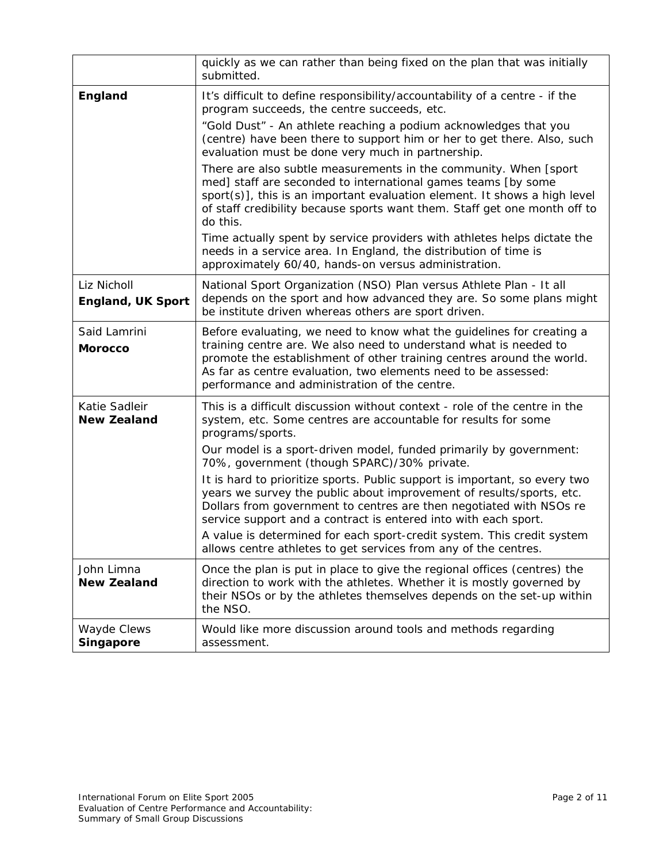|                                         | quickly as we can rather than being fixed on the plan that was initially<br>submitted.                                                                                                                                                                                                                                                                                 |
|-----------------------------------------|------------------------------------------------------------------------------------------------------------------------------------------------------------------------------------------------------------------------------------------------------------------------------------------------------------------------------------------------------------------------|
| England                                 | It's difficult to define responsibility/accountability of a centre - if the<br>program succeeds, the centre succeeds, etc.                                                                                                                                                                                                                                             |
|                                         | "Gold Dust" - An athlete reaching a podium acknowledges that you<br>(centre) have been there to support him or her to get there. Also, such<br>evaluation must be done very much in partnership.                                                                                                                                                                       |
|                                         | There are also subtle measurements in the community. When [sport]<br>med] staff are seconded to international games teams [by some<br>sport(s)], this is an important evaluation element. It shows a high level<br>of staff credibility because sports want them. Staff get one month off to<br>do this.                                                               |
|                                         | Time actually spent by service providers with athletes helps dictate the<br>needs in a service area. In England, the distribution of time is<br>approximately 60/40, hands-on versus administration.                                                                                                                                                                   |
| Liz Nicholl<br><b>England, UK Sport</b> | National Sport Organization (NSO) Plan versus Athlete Plan - It all<br>depends on the sport and how advanced they are. So some plans might<br>be institute driven whereas others are sport driven.                                                                                                                                                                     |
| Said Lamrini<br><b>Morocco</b>          | Before evaluating, we need to know what the guidelines for creating a<br>training centre are. We also need to understand what is needed to<br>promote the establishment of other training centres around the world.<br>As far as centre evaluation, two elements need to be assessed:<br>performance and administration of the centre.                                 |
| Katie Sadleir<br><b>New Zealand</b>     | This is a difficult discussion without context - role of the centre in the<br>system, etc. Some centres are accountable for results for some<br>programs/sports.                                                                                                                                                                                                       |
|                                         | Our model is a sport-driven model, funded primarily by government:<br>70%, government (though SPARC)/30% private.                                                                                                                                                                                                                                                      |
|                                         | It is hard to prioritize sports. Public support is important, so every two<br>years we survey the public about improvement of results/sports, etc.<br>Dollars from government to centres are then negotiated with NSOs re<br>service support and a contract is entered into with each sport.<br>A value is determined for each sport-credit system. This credit system |
| John Limna                              | allows centre athletes to get services from any of the centres.<br>Once the plan is put in place to give the regional offices (centres) the                                                                                                                                                                                                                            |
| <b>New Zealand</b>                      | direction to work with the athletes. Whether it is mostly governed by<br>their NSOs or by the athletes themselves depends on the set-up within<br>the NSO.                                                                                                                                                                                                             |
| Wayde Clews<br>Singapore                | Would like more discussion around tools and methods regarding<br>assessment.                                                                                                                                                                                                                                                                                           |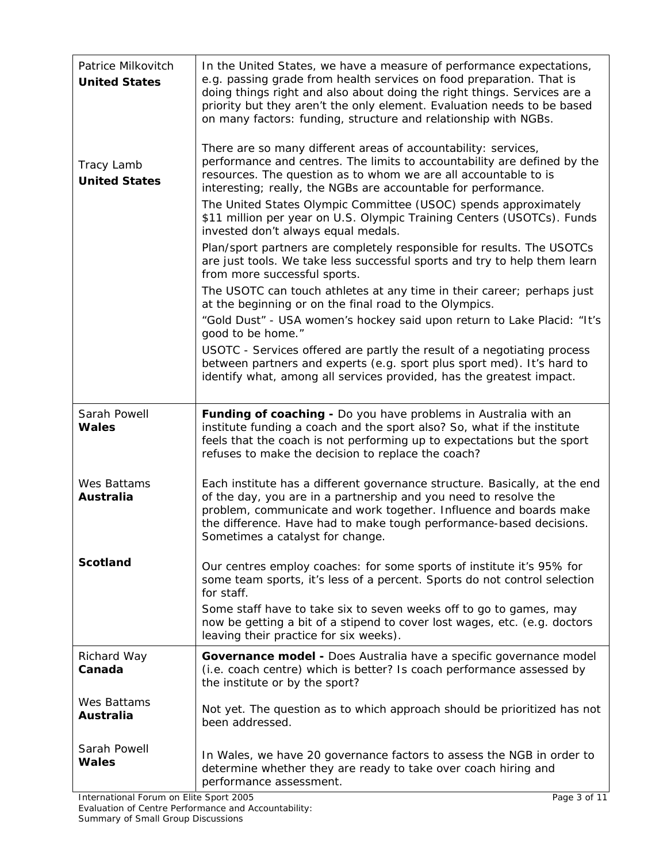| Patrice Milkovitch<br><b>United States</b> | In the United States, we have a measure of performance expectations,<br>e.g. passing grade from health services on food preparation. That is<br>doing things right and also about doing the right things. Services are a<br>priority but they aren't the only element. Evaluation needs to be based<br>on many factors: funding, structure and relationship with NGBs. |
|--------------------------------------------|------------------------------------------------------------------------------------------------------------------------------------------------------------------------------------------------------------------------------------------------------------------------------------------------------------------------------------------------------------------------|
| Tracy Lamb<br><b>United States</b>         | There are so many different areas of accountability: services,<br>performance and centres. The limits to accountability are defined by the<br>resources. The question as to whom we are all accountable to is<br>interesting; really, the NGBs are accountable for performance.                                                                                        |
|                                            | The United States Olympic Committee (USOC) spends approximately<br>\$11 million per year on U.S. Olympic Training Centers (USOTCs). Funds<br>invested don't always equal medals.                                                                                                                                                                                       |
|                                            | Plan/sport partners are completely responsible for results. The USOTCs<br>are just tools. We take less successful sports and try to help them learn<br>from more successful sports.                                                                                                                                                                                    |
|                                            | The USOTC can touch athletes at any time in their career; perhaps just<br>at the beginning or on the final road to the Olympics.                                                                                                                                                                                                                                       |
|                                            | "Gold Dust" - USA women's hockey said upon return to Lake Placid: "It's<br>good to be home."                                                                                                                                                                                                                                                                           |
|                                            | USOTC - Services offered are partly the result of a negotiating process<br>between partners and experts (e.g. sport plus sport med). It's hard to<br>identify what, among all services provided, has the greatest impact.                                                                                                                                              |
| Sarah Powell                               | Funding of coaching - Do you have problems in Australia with an                                                                                                                                                                                                                                                                                                        |
| <b>Wales</b>                               | institute funding a coach and the sport also? So, what if the institute<br>feels that the coach is not performing up to expectations but the sport<br>refuses to make the decision to replace the coach?                                                                                                                                                               |
| Wes Battams<br>Australia                   | Each institute has a different governance structure. Basically, at the end<br>of the day, you are in a partnership and you need to resolve the<br>problem, communicate and work together. Influence and boards make<br>the difference. Have had to make tough performance-based decisions.<br>Sometimes a catalyst for change.                                         |
| <b>Scotland</b>                            | Our centres employ coaches: for some sports of institute it's 95% for<br>some team sports, it's less of a percent. Sports do not control selection<br>for staff.                                                                                                                                                                                                       |
|                                            | Some staff have to take six to seven weeks off to go to games, may<br>now be getting a bit of a stipend to cover lost wages, etc. (e.g. doctors<br>leaving their practice for six weeks).                                                                                                                                                                              |
| Richard Way<br>Canada                      | Governance model - Does Australia have a specific governance model<br>(i.e. coach centre) which is better? Is coach performance assessed by<br>the institute or by the sport?                                                                                                                                                                                          |
| Wes Battams<br>Australia                   | Not yet. The question as to which approach should be prioritized has not<br>been addressed.                                                                                                                                                                                                                                                                            |
| Sarah Powell<br><b>Wales</b>               | In Wales, we have 20 governance factors to assess the NGB in order to<br>determine whether they are ready to take over coach hiring and<br>performance assessment.                                                                                                                                                                                                     |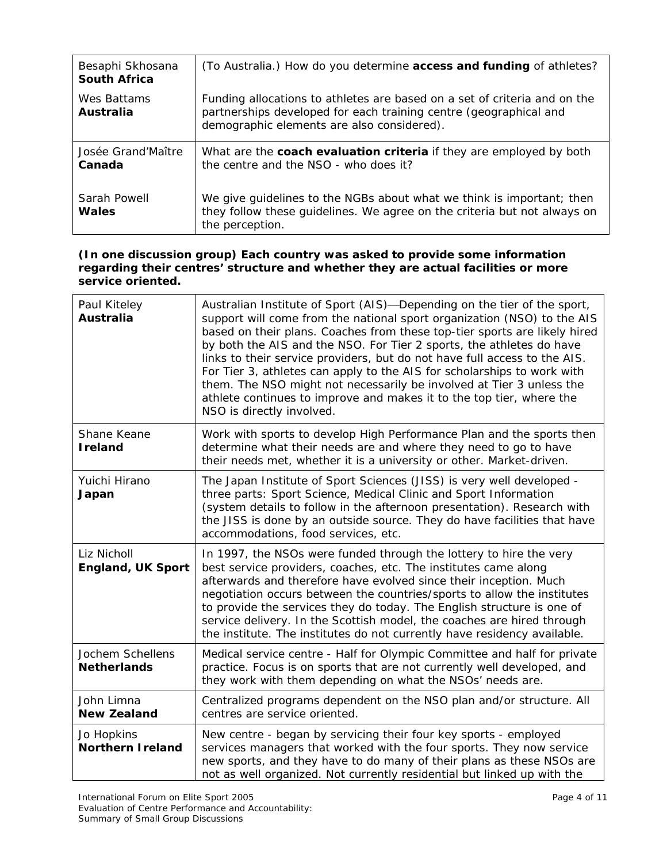| Besaphi Skhosana<br><b>South Africa</b> | (To Australia.) How do you determine access and funding of athletes?                                                                                                                         |
|-----------------------------------------|----------------------------------------------------------------------------------------------------------------------------------------------------------------------------------------------|
| Wes Battams<br>Australia                | Funding allocations to athletes are based on a set of criteria and on the<br>partnerships developed for each training centre (geographical and<br>demographic elements are also considered). |
| Josée Grand'Maître<br>Canada            | What are the <b>coach evaluation criteria</b> if they are employed by both<br>the centre and the NSO - who does it?                                                                          |
| Sarah Powell<br>Wales                   | We give guidelines to the NGBs about what we think is important; then<br>they follow these guidelines. We agree on the criteria but not always on<br>the perception.                         |

### **(In one discussion group) Each country was asked to provide some information regarding their centres' structure and whether they are actual facilities or more service oriented.**

| Paul Kiteley<br><b>Australia</b>        | Australian Institute of Sport (AIS)—Depending on the tier of the sport,<br>support will come from the national sport organization (NSO) to the AIS<br>based on their plans. Coaches from these top-tier sports are likely hired<br>by both the AIS and the NSO. For Tier 2 sports, the athletes do have<br>links to their service providers, but do not have full access to the AIS.<br>For Tier 3, athletes can apply to the AIS for scholarships to work with<br>them. The NSO might not necessarily be involved at Tier 3 unless the<br>athlete continues to improve and makes it to the top tier, where the<br>NSO is directly involved. |
|-----------------------------------------|----------------------------------------------------------------------------------------------------------------------------------------------------------------------------------------------------------------------------------------------------------------------------------------------------------------------------------------------------------------------------------------------------------------------------------------------------------------------------------------------------------------------------------------------------------------------------------------------------------------------------------------------|
| Shane Keane<br><b>I</b> reland          | Work with sports to develop High Performance Plan and the sports then<br>determine what their needs are and where they need to go to have<br>their needs met, whether it is a university or other. Market-driven.                                                                                                                                                                                                                                                                                                                                                                                                                            |
| Yuichi Hirano<br>Japan                  | The Japan Institute of Sport Sciences (JISS) is very well developed -<br>three parts: Sport Science, Medical Clinic and Sport Information<br>(system details to follow in the afternoon presentation). Research with<br>the JISS is done by an outside source. They do have facilities that have<br>accommodations, food services, etc.                                                                                                                                                                                                                                                                                                      |
| Liz Nicholl<br><b>England, UK Sport</b> | In 1997, the NSOs were funded through the lottery to hire the very<br>best service providers, coaches, etc. The institutes came along<br>afterwards and therefore have evolved since their inception. Much<br>negotiation occurs between the countries/sports to allow the institutes<br>to provide the services they do today. The English structure is one of<br>service delivery. In the Scottish model, the coaches are hired through<br>the institute. The institutes do not currently have residency available.                                                                                                                        |
| Jochem Schellens<br><b>Netherlands</b>  | Medical service centre - Half for Olympic Committee and half for private<br>practice. Focus is on sports that are not currently well developed, and<br>they work with them depending on what the NSOs' needs are.                                                                                                                                                                                                                                                                                                                                                                                                                            |
| John Limna<br><b>New Zealand</b>        | Centralized programs dependent on the NSO plan and/or structure. All<br>centres are service oriented.                                                                                                                                                                                                                                                                                                                                                                                                                                                                                                                                        |
| Jo Hopkins<br><b>Northern I reland</b>  | New centre - began by servicing their four key sports - employed<br>services managers that worked with the four sports. They now service<br>new sports, and they have to do many of their plans as these NSOs are<br>not as well organized. Not currently residential but linked up with the                                                                                                                                                                                                                                                                                                                                                 |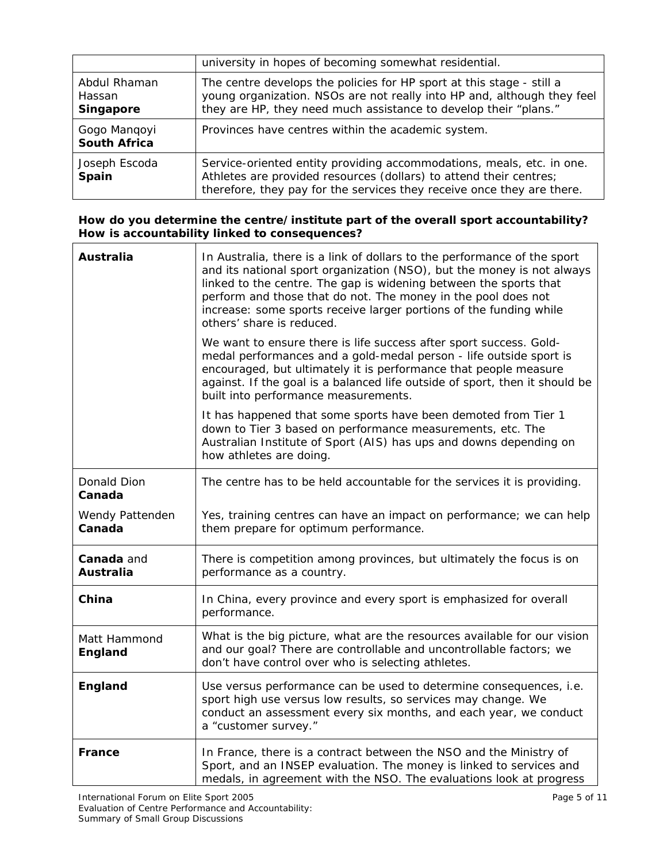|                                     | university in hopes of becoming somewhat residential.                                                                                                                                                                 |
|-------------------------------------|-----------------------------------------------------------------------------------------------------------------------------------------------------------------------------------------------------------------------|
| Abdul Rhaman<br>Hassan<br>Singapore | The centre develops the policies for HP sport at this stage - still a<br>young organization. NSOs are not really into HP and, although they feel<br>they are HP, they need much assistance to develop their "plans."  |
| Gogo Mangoyi<br><b>South Africa</b> | Provinces have centres within the academic system.                                                                                                                                                                    |
| Joseph Escoda<br>Spain              | Service-oriented entity providing accommodations, meals, etc. in one.<br>Athletes are provided resources (dollars) to attend their centres;<br>therefore, they pay for the services they receive once they are there. |

### **How do you determine the centre/institute part of the overall sport accountability? How is accountability linked to consequences?**

| <b>Australia</b>               | In Australia, there is a link of dollars to the performance of the sport<br>and its national sport organization (NSO), but the money is not always<br>linked to the centre. The gap is widening between the sports that<br>perform and those that do not. The money in the pool does not<br>increase: some sports receive larger portions of the funding while<br>others' share is reduced. |
|--------------------------------|---------------------------------------------------------------------------------------------------------------------------------------------------------------------------------------------------------------------------------------------------------------------------------------------------------------------------------------------------------------------------------------------|
|                                | We want to ensure there is life success after sport success. Gold-<br>medal performances and a gold-medal person - life outside sport is<br>encouraged, but ultimately it is performance that people measure<br>against. If the goal is a balanced life outside of sport, then it should be<br>built into performance measurements.                                                         |
|                                | It has happened that some sports have been demoted from Tier 1<br>down to Tier 3 based on performance measurements, etc. The<br>Australian Institute of Sport (AIS) has ups and downs depending on<br>how athletes are doing.                                                                                                                                                               |
| Donald Dion<br>Canada          | The centre has to be held accountable for the services it is providing.                                                                                                                                                                                                                                                                                                                     |
| Wendy Pattenden<br>Canada      | Yes, training centres can have an impact on performance; we can help<br>them prepare for optimum performance.                                                                                                                                                                                                                                                                               |
| Canada and<br><b>Australia</b> | There is competition among provinces, but ultimately the focus is on<br>performance as a country.                                                                                                                                                                                                                                                                                           |
| China                          | In China, every province and every sport is emphasized for overall<br>performance.                                                                                                                                                                                                                                                                                                          |
| Matt Hammond<br>England        | What is the big picture, what are the resources available for our vision<br>and our goal? There are controllable and uncontrollable factors; we<br>don't have control over who is selecting athletes.                                                                                                                                                                                       |
| England                        | Use versus performance can be used to determine consequences, i.e.<br>sport high use versus low results, so services may change. We<br>conduct an assessment every six months, and each year, we conduct<br>a "customer survey."                                                                                                                                                            |
| <b>France</b>                  | In France, there is a contract between the NSO and the Ministry of<br>Sport, and an INSEP evaluation. The money is linked to services and<br>medals, in agreement with the NSO. The evaluations look at progress                                                                                                                                                                            |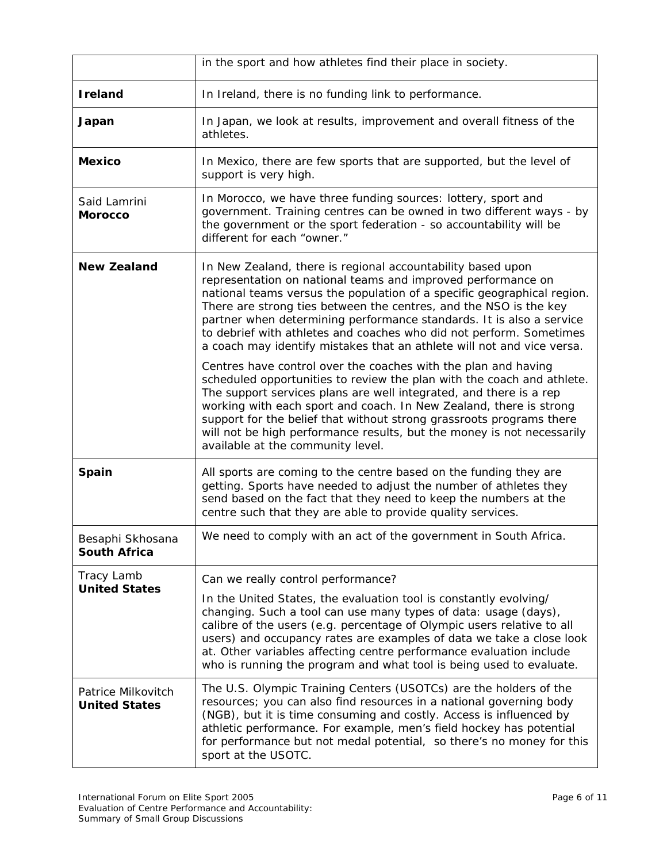|                                            | in the sport and how athletes find their place in society.                                                                                                                                                                                                                                                                                                                                                                                                                                           |
|--------------------------------------------|------------------------------------------------------------------------------------------------------------------------------------------------------------------------------------------------------------------------------------------------------------------------------------------------------------------------------------------------------------------------------------------------------------------------------------------------------------------------------------------------------|
| <b>I</b> reland                            | In Ireland, there is no funding link to performance.                                                                                                                                                                                                                                                                                                                                                                                                                                                 |
| Japan                                      | In Japan, we look at results, improvement and overall fitness of the<br>athletes.                                                                                                                                                                                                                                                                                                                                                                                                                    |
| <b>Mexico</b>                              | In Mexico, there are few sports that are supported, but the level of<br>support is very high.                                                                                                                                                                                                                                                                                                                                                                                                        |
| Said Lamrini<br><b>Morocco</b>             | In Morocco, we have three funding sources: lottery, sport and<br>government. Training centres can be owned in two different ways - by<br>the government or the sport federation - so accountability will be<br>different for each "owner."                                                                                                                                                                                                                                                           |
| <b>New Zealand</b>                         | In New Zealand, there is regional accountability based upon<br>representation on national teams and improved performance on<br>national teams versus the population of a specific geographical region.<br>There are strong ties between the centres, and the NSO is the key<br>partner when determining performance standards. It is also a service<br>to debrief with athletes and coaches who did not perform. Sometimes<br>a coach may identify mistakes that an athlete will not and vice versa. |
|                                            | Centres have control over the coaches with the plan and having<br>scheduled opportunities to review the plan with the coach and athlete.<br>The support services plans are well integrated, and there is a rep<br>working with each sport and coach. In New Zealand, there is strong<br>support for the belief that without strong grassroots programs there<br>will not be high performance results, but the money is not necessarily<br>available at the community level.                          |
| Spain                                      | All sports are coming to the centre based on the funding they are<br>getting. Sports have needed to adjust the number of athletes they<br>send based on the fact that they need to keep the numbers at the<br>centre such that they are able to provide quality services.                                                                                                                                                                                                                            |
| Besaphi Skhosana<br><b>South Africa</b>    | We need to comply with an act of the government in South Africa.                                                                                                                                                                                                                                                                                                                                                                                                                                     |
| Tracy Lamb<br><b>United States</b>         | Can we really control performance?                                                                                                                                                                                                                                                                                                                                                                                                                                                                   |
|                                            | In the United States, the evaluation tool is constantly evolving/<br>changing. Such a tool can use many types of data: usage (days),<br>calibre of the users (e.g. percentage of Olympic users relative to all<br>users) and occupancy rates are examples of data we take a close look<br>at. Other variables affecting centre performance evaluation include<br>who is running the program and what tool is being used to evaluate.                                                                 |
| Patrice Milkovitch<br><b>United States</b> | The U.S. Olympic Training Centers (USOTCs) are the holders of the<br>resources; you can also find resources in a national governing body<br>(NGB), but it is time consuming and costly. Access is influenced by<br>athletic performance. For example, men's field hockey has potential<br>for performance but not medal potential, so there's no money for this<br>sport at the USOTC.                                                                                                               |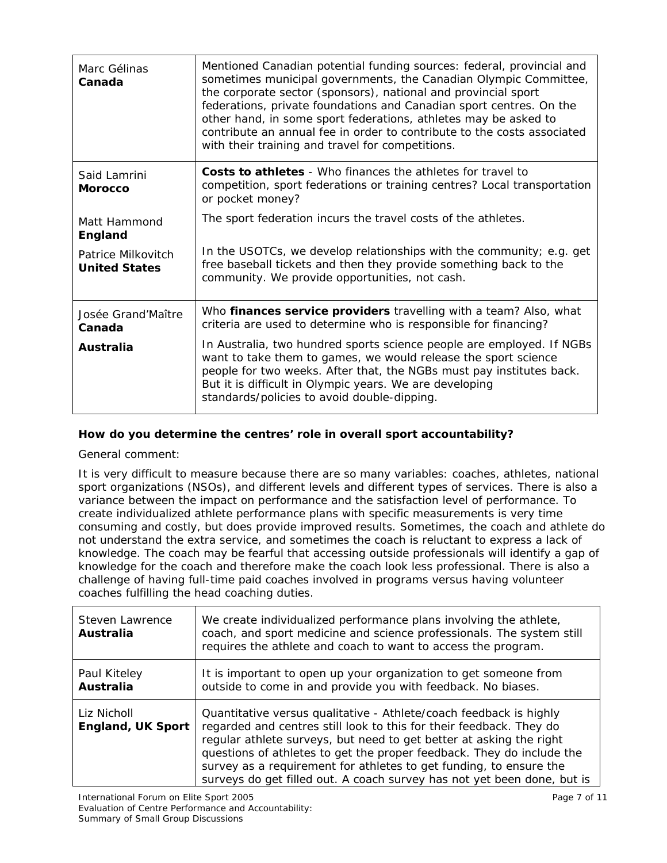| Marc Gélinas<br>Canada                     | Mentioned Canadian potential funding sources: federal, provincial and<br>sometimes municipal governments, the Canadian Olympic Committee,<br>the corporate sector (sponsors), national and provincial sport<br>federations, private foundations and Canadian sport centres. On the<br>other hand, in some sport federations, athletes may be asked to<br>contribute an annual fee in order to contribute to the costs associated<br>with their training and travel for competitions. |
|--------------------------------------------|--------------------------------------------------------------------------------------------------------------------------------------------------------------------------------------------------------------------------------------------------------------------------------------------------------------------------------------------------------------------------------------------------------------------------------------------------------------------------------------|
| Said Lamrini<br><b>Morocco</b>             | <b>Costs to athletes</b> - Who finances the athletes for travel to<br>competition, sport federations or training centres? Local transportation<br>or pocket money?                                                                                                                                                                                                                                                                                                                   |
| Matt Hammond<br>England                    | The sport federation incurs the travel costs of the athletes.                                                                                                                                                                                                                                                                                                                                                                                                                        |
| Patrice Milkovitch<br><b>United States</b> | In the USOTCs, we develop relationships with the community; e.g. get<br>free baseball tickets and then they provide something back to the<br>community. We provide opportunities, not cash.                                                                                                                                                                                                                                                                                          |
| Josée Grand'Maître<br>Canada               | Who finances service providers travelling with a team? Also, what<br>criteria are used to determine who is responsible for financing?                                                                                                                                                                                                                                                                                                                                                |
| Australia                                  | In Australia, two hundred sports science people are employed. If NGBs<br>want to take them to games, we would release the sport science<br>people for two weeks. After that, the NGBs must pay institutes back.<br>But it is difficult in Olympic years. We are developing<br>standards/policies to avoid double-dipping.                                                                                                                                                            |

### **How do you determine the centres' role in overall sport accountability?**

General comment:

It is very difficult to measure because there are so many variables: coaches, athletes, national sport organizations (NSOs), and different levels and different types of services. There is also a variance between the impact on performance and the satisfaction level of performance. To create individualized athlete performance plans with specific measurements is very time consuming and costly, but does provide improved results. Sometimes, the coach and athlete do not understand the extra service, and sometimes the coach is reluctant to express a lack of knowledge. The coach may be fearful that accessing outside professionals will identify a gap of knowledge for the coach and therefore make the coach look less professional. There is also a challenge of having full-time paid coaches involved in programs versus having volunteer coaches fulfilling the head coaching duties.

| Steven Lawrence<br>Australia            | We create individualized performance plans involving the athlete,<br>coach, and sport medicine and science professionals. The system still<br>requires the athlete and coach to want to access the program.                                                                                                                                                                                                                                |
|-----------------------------------------|--------------------------------------------------------------------------------------------------------------------------------------------------------------------------------------------------------------------------------------------------------------------------------------------------------------------------------------------------------------------------------------------------------------------------------------------|
| Paul Kiteley<br><b>Australia</b>        | It is important to open up your organization to get someone from<br>outside to come in and provide you with feedback. No biases.                                                                                                                                                                                                                                                                                                           |
| Liz Nicholl<br><b>England, UK Sport</b> | Quantitative versus qualitative - Athlete/coach feedback is highly<br>regarded and centres still look to this for their feedback. They do<br>regular athlete surveys, but need to get better at asking the right<br>questions of athletes to get the proper feedback. They do include the<br>survey as a requirement for athletes to get funding, to ensure the<br>surveys do get filled out. A coach survey has not yet been done, but is |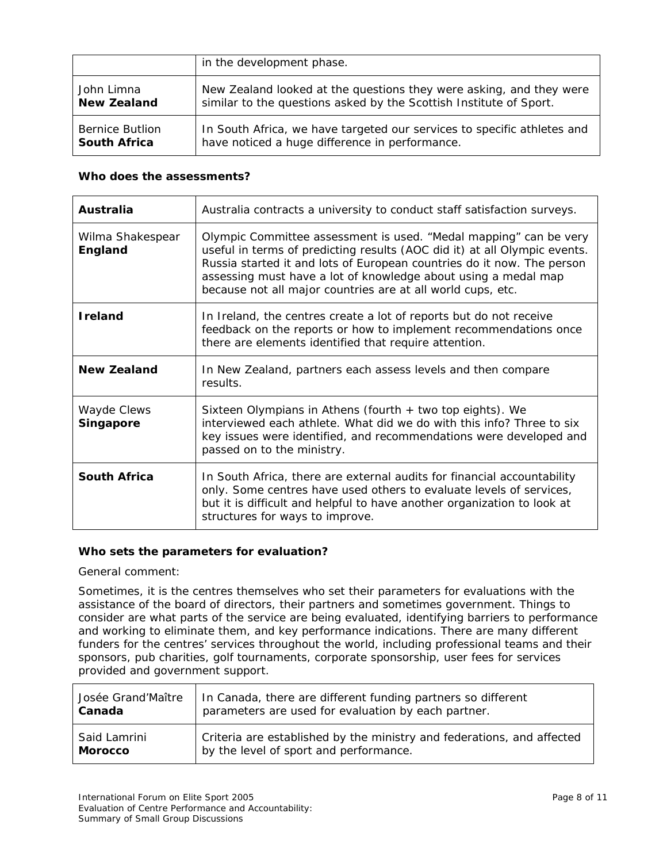|                        | in the development phase.                                               |
|------------------------|-------------------------------------------------------------------------|
| John Limna             | New Zealand looked at the questions they were asking, and they were     |
| <b>New Zealand</b>     | similar to the questions asked by the Scottish Institute of Sport.      |
| <b>Bernice Butlion</b> | In South Africa, we have targeted our services to specific athletes and |
| <b>South Africa</b>    | have noticed a huge difference in performance.                          |

#### **Who does the assessments?**

| Australia                       | Australia contracts a university to conduct staff satisfaction surveys.                                                                                                                                                                                                                                                                                   |
|---------------------------------|-----------------------------------------------------------------------------------------------------------------------------------------------------------------------------------------------------------------------------------------------------------------------------------------------------------------------------------------------------------|
| Wilma Shakespear<br>England     | Olympic Committee assessment is used. "Medal mapping" can be very<br>useful in terms of predicting results (AOC did it) at all Olympic events.<br>Russia started it and lots of European countries do it now. The person<br>assessing must have a lot of knowledge about using a medal map<br>because not all major countries are at all world cups, etc. |
| <b>Ireland</b>                  | In Ireland, the centres create a lot of reports but do not receive<br>feedback on the reports or how to implement recommendations once<br>there are elements identified that require attention.                                                                                                                                                           |
| <b>New Zealand</b>              | In New Zealand, partners each assess levels and then compare<br>results.                                                                                                                                                                                                                                                                                  |
| Wayde Clews<br><b>Singapore</b> | Sixteen Olympians in Athens (fourth $+$ two top eights). We<br>interviewed each athlete. What did we do with this info? Three to six<br>key issues were identified, and recommendations were developed and<br>passed on to the ministry.                                                                                                                  |
| <b>South Africa</b>             | In South Africa, there are external audits for financial accountability<br>only. Some centres have used others to evaluate levels of services,<br>but it is difficult and helpful to have another organization to look at<br>structures for ways to improve.                                                                                              |

### **Who sets the parameters for evaluation?**

General comment:

Sometimes, it is the centres themselves who set their parameters for evaluations with the assistance of the board of directors, their partners and sometimes government. Things to consider are what parts of the service are being evaluated, identifying barriers to performance and working to eliminate them, and key performance indications. There are many different funders for the centres' services throughout the world, including professional teams and their sponsors, pub charities, golf tournaments, corporate sponsorship, user fees for services provided and government support.

| Josée Grand'Maître | In Canada, there are different funding partners so different           |
|--------------------|------------------------------------------------------------------------|
| Canada             | parameters are used for evaluation by each partner.                    |
| Said Lamrini       | Criteria are established by the ministry and federations, and affected |
| <b>Morocco</b>     | by the level of sport and performance.                                 |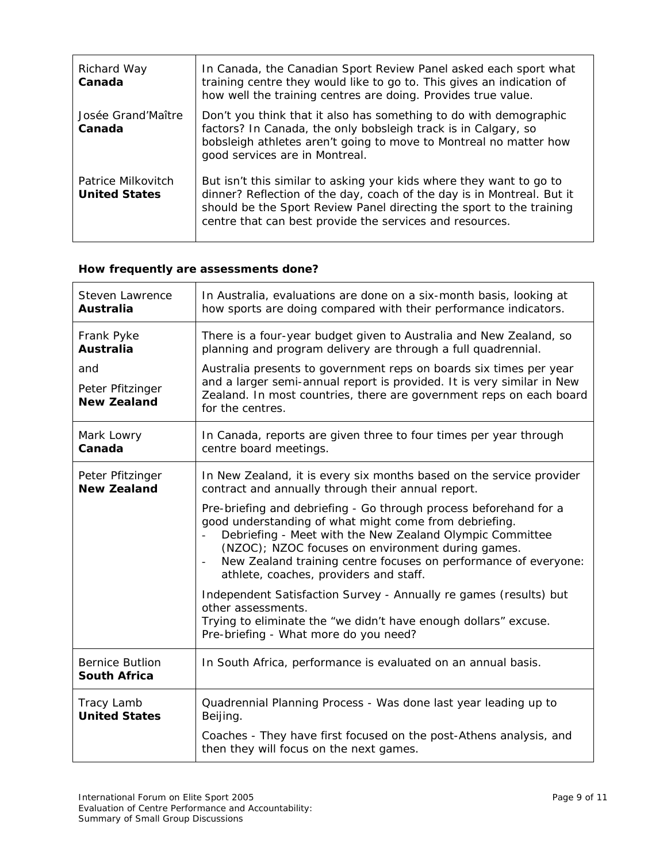| Richard Way<br>Canada                      | In Canada, the Canadian Sport Review Panel asked each sport what<br>training centre they would like to go to. This gives an indication of<br>how well the training centres are doing. Provides true value.                                                                        |
|--------------------------------------------|-----------------------------------------------------------------------------------------------------------------------------------------------------------------------------------------------------------------------------------------------------------------------------------|
| Josée Grand'Maître<br>Canada               | Don't you think that it also has something to do with demographic<br>factors? In Canada, the only bobsleigh track is in Calgary, so<br>bobsleigh athletes aren't going to move to Montreal no matter how<br>good services are in Montreal.                                        |
| Patrice Milkovitch<br><b>United States</b> | But isn't this similar to asking your kids where they want to go to<br>dinner? Reflection of the day, coach of the day is in Montreal. But it<br>should be the Sport Review Panel directing the sport to the training<br>centre that can best provide the services and resources. |

# **How frequently are assessments done?**

| Steven Lawrence                               | In Australia, evaluations are done on a six-month basis, looking at                                                                                                                                                                                                                                                                                       |
|-----------------------------------------------|-----------------------------------------------------------------------------------------------------------------------------------------------------------------------------------------------------------------------------------------------------------------------------------------------------------------------------------------------------------|
| <b>Australia</b>                              | how sports are doing compared with their performance indicators.                                                                                                                                                                                                                                                                                          |
| Frank Pyke                                    | There is a four-year budget given to Australia and New Zealand, so                                                                                                                                                                                                                                                                                        |
| <b>Australia</b>                              | planning and program delivery are through a full quadrennial.                                                                                                                                                                                                                                                                                             |
| and<br>Peter Pfitzinger<br><b>New Zealand</b> | Australia presents to government reps on boards six times per year<br>and a larger semi-annual report is provided. It is very similar in New<br>Zealand. In most countries, there are government reps on each board<br>for the centres.                                                                                                                   |
| Mark Lowry                                    | In Canada, reports are given three to four times per year through                                                                                                                                                                                                                                                                                         |
| Canada                                        | centre board meetings.                                                                                                                                                                                                                                                                                                                                    |
| Peter Pfitzinger                              | In New Zealand, it is every six months based on the service provider                                                                                                                                                                                                                                                                                      |
| <b>New Zealand</b>                            | contract and annually through their annual report.                                                                                                                                                                                                                                                                                                        |
|                                               | Pre-briefing and debriefing - Go through process beforehand for a<br>good understanding of what might come from debriefing.<br>Debriefing - Meet with the New Zealand Olympic Committee<br>(NZOC); NZOC focuses on environment during games.<br>New Zealand training centre focuses on performance of everyone:<br>athlete, coaches, providers and staff. |
|                                               | Independent Satisfaction Survey - Annually re games (results) but<br>other assessments.<br>Trying to eliminate the "we didn't have enough dollars" excuse.<br>Pre-briefing - What more do you need?                                                                                                                                                       |
| <b>Bernice Butlion</b><br><b>South Africa</b> | In South Africa, performance is evaluated on an annual basis.                                                                                                                                                                                                                                                                                             |
| Tracy Lamb                                    | Quadrennial Planning Process - Was done last year leading up to                                                                                                                                                                                                                                                                                           |
| <b>United States</b>                          | Beijing.                                                                                                                                                                                                                                                                                                                                                  |
|                                               | Coaches - They have first focused on the post-Athens analysis, and<br>then they will focus on the next games.                                                                                                                                                                                                                                             |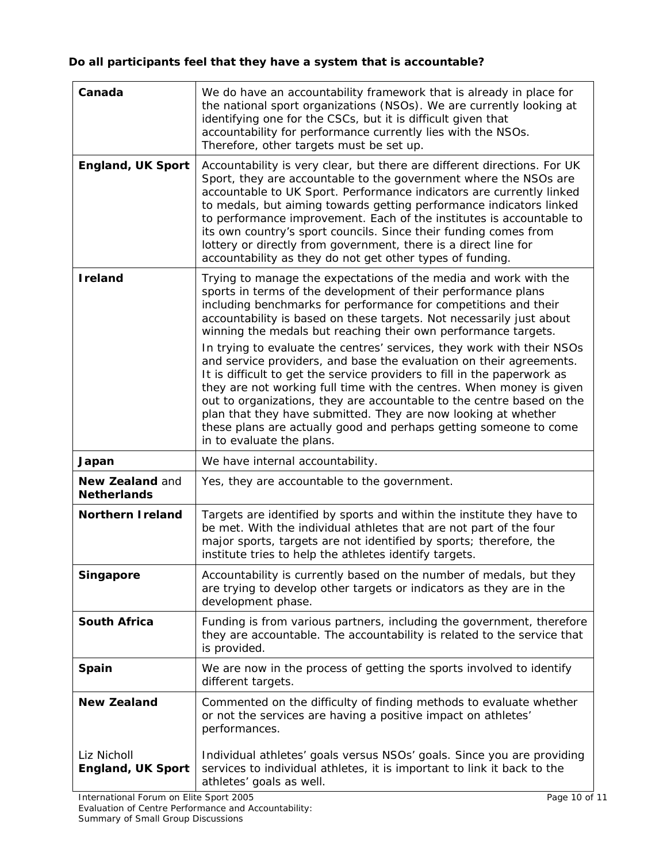# **Do all participants feel that they have a system that is accountable?**

 $\overline{a}$ 

| Canada                                  | We do have an accountability framework that is already in place for<br>the national sport organizations (NSOs). We are currently looking at<br>identifying one for the CSCs, but it is difficult given that<br>accountability for performance currently lies with the NSOs.<br>Therefore, other targets must be set up.                                                                                                                                                                                                                                                                                                                                                                                                                                                                                                                                                                          |
|-----------------------------------------|--------------------------------------------------------------------------------------------------------------------------------------------------------------------------------------------------------------------------------------------------------------------------------------------------------------------------------------------------------------------------------------------------------------------------------------------------------------------------------------------------------------------------------------------------------------------------------------------------------------------------------------------------------------------------------------------------------------------------------------------------------------------------------------------------------------------------------------------------------------------------------------------------|
| <b>England, UK Sport</b>                | Accountability is very clear, but there are different directions. For UK<br>Sport, they are accountable to the government where the NSOs are<br>accountable to UK Sport. Performance indicators are currently linked<br>to medals, but aiming towards getting performance indicators linked<br>to performance improvement. Each of the institutes is accountable to<br>its own country's sport councils. Since their funding comes from<br>lottery or directly from government, there is a direct line for<br>accountability as they do not get other types of funding.                                                                                                                                                                                                                                                                                                                          |
| <b>I</b> reland                         | Trying to manage the expectations of the media and work with the<br>sports in terms of the development of their performance plans<br>including benchmarks for performance for competitions and their<br>accountability is based on these targets. Not necessarily just about<br>winning the medals but reaching their own performance targets.<br>In trying to evaluate the centres' services, they work with their NSOs<br>and service providers, and base the evaluation on their agreements.<br>It is difficult to get the service providers to fill in the paperwork as<br>they are not working full time with the centres. When money is given<br>out to organizations, they are accountable to the centre based on the<br>plan that they have submitted. They are now looking at whether<br>these plans are actually good and perhaps getting someone to come<br>in to evaluate the plans. |
| Japan                                   | We have internal accountability.                                                                                                                                                                                                                                                                                                                                                                                                                                                                                                                                                                                                                                                                                                                                                                                                                                                                 |
| New Zealand and<br><b>Netherlands</b>   | Yes, they are accountable to the government.                                                                                                                                                                                                                                                                                                                                                                                                                                                                                                                                                                                                                                                                                                                                                                                                                                                     |
| <b>Northern I reland</b>                | Targets are identified by sports and within the institute they have to<br>be met. With the individual athletes that are not part of the four<br>major sports, targets are not identified by sports; therefore, the<br>institute tries to help the athletes identify targets.                                                                                                                                                                                                                                                                                                                                                                                                                                                                                                                                                                                                                     |
| Singapore                               | Accountability is currently based on the number of medals, but they<br>are trying to develop other targets or indicators as they are in the<br>development phase.                                                                                                                                                                                                                                                                                                                                                                                                                                                                                                                                                                                                                                                                                                                                |
| <b>South Africa</b>                     | Funding is from various partners, including the government, therefore<br>they are accountable. The accountability is related to the service that<br>is provided.                                                                                                                                                                                                                                                                                                                                                                                                                                                                                                                                                                                                                                                                                                                                 |
| Spain                                   | We are now in the process of getting the sports involved to identify<br>different targets.                                                                                                                                                                                                                                                                                                                                                                                                                                                                                                                                                                                                                                                                                                                                                                                                       |
| <b>New Zealand</b>                      | Commented on the difficulty of finding methods to evaluate whether<br>or not the services are having a positive impact on athletes'<br>performances.                                                                                                                                                                                                                                                                                                                                                                                                                                                                                                                                                                                                                                                                                                                                             |
| Liz Nicholl<br><b>England, UK Sport</b> | Individual athletes' goals versus NSOs' goals. Since you are providing<br>services to individual athletes, it is important to link it back to the<br>athletes' goals as well.                                                                                                                                                                                                                                                                                                                                                                                                                                                                                                                                                                                                                                                                                                                    |
| International Forum on Elite Sport 2005 | Page 10 of 11                                                                                                                                                                                                                                                                                                                                                                                                                                                                                                                                                                                                                                                                                                                                                                                                                                                                                    |